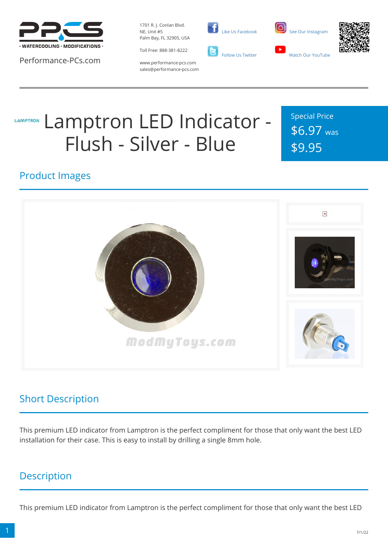

Performance-PCs.com

1701 R. J. Conlan Blvd. NE, Unit #5 Palm Bay, FL 32905, USA

Toll Free: 888-381-8222



 [Like Us Facebook](https://www.facebook.com/PerformancePCs)





www.performance-pcs.com sales@performance-pcs.com

# Lamptron LED Indicator - **LAMPTRON** Flush - Silver - Blue

Special Price \$6.97 was \$9.95

#### Product Images



# Short Description

This premium LED indicator from Lamptron is the perfect compliment for those that only want the best LED installation for their case. This is easy to install by drilling a single 8mm hole.

# **Description**

This premium LED indicator from Lamptron is the perfect compliment for those that only want the best LED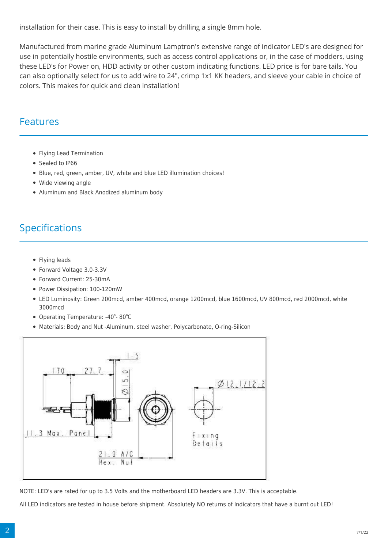installation for their case. This is easy to install by drilling a single 8mm hole.

Manufactured from marine grade Aluminum Lamptron's extensive range of indicator LED's are designed for use in potentially hostile environments, such as access control applications or, in the case of modders, using these LED's for Power on, HDD activity or other custom indicating functions. LED price is for bare tails. You can also optionally select for us to add wire to 24", crimp 1x1 KK headers, and sleeve your cable in choice of colors. This makes for quick and clean installation!

#### Features

- Flying Lead Termination
- Sealed to IP66
- Blue, red, green, amber, UV, white and blue LED illumination choices!
- Wide viewing angle
- Aluminum and Black Anodized aluminum body

### Specifications

- Flying leads
- Forward Voltage 3.0-3.3V
- Forward Current: 25-30mA
- Power Dissipation: 100-120mW
- LED Luminosity: Green 200mcd, amber 400mcd, orange 1200mcd, blue 1600mcd, UV 800mcd, red 2000mcd, white 3000mcd
- Operating Temperature: -40°-80°C
- Materials: Body and Nut -Aluminum, steel washer, Polycarbonate, O-ring-Silicon



NOTE: LED's are rated for up to 3.5 Volts and the motherboard LED headers are 3.3V. This is acceptable.

All LED indicators are tested in house before shipment. Absolutely NO returns of Indicators that have a burnt out LED!